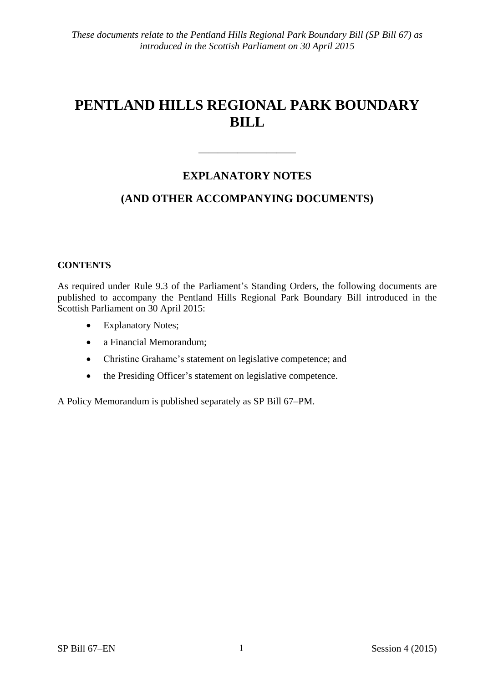# **PENTLAND HILLS REGIONAL PARK BOUNDARY BILL**

## **EXPLANATORY NOTES**

——————————

## **(AND OTHER ACCOMPANYING DOCUMENTS)**

#### **CONTENTS**

As required under Rule 9.3 of the Parliament's Standing Orders, the following documents are published to accompany the Pentland Hills Regional Park Boundary Bill introduced in the Scottish Parliament on 30 April 2015:

- Explanatory Notes;
- a Financial Memorandum;
- Christine Grahame's statement on legislative competence; and
- the Presiding Officer's statement on legislative competence.

A Policy Memorandum is published separately as SP Bill 67–PM.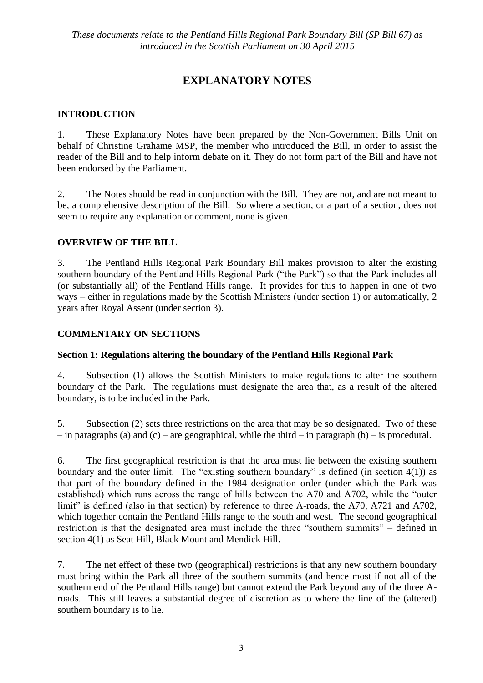# **EXPLANATORY NOTES**

#### **INTRODUCTION**

1. These Explanatory Notes have been prepared by the Non-Government Bills Unit on behalf of Christine Grahame MSP, the member who introduced the Bill, in order to assist the reader of the Bill and to help inform debate on it. They do not form part of the Bill and have not been endorsed by the Parliament.

2. The Notes should be read in conjunction with the Bill. They are not, and are not meant to be, a comprehensive description of the Bill. So where a section, or a part of a section, does not seem to require any explanation or comment, none is given.

#### **OVERVIEW OF THE BILL**

3. The Pentland Hills Regional Park Boundary Bill makes provision to alter the existing southern boundary of the Pentland Hills Regional Park ("the Park") so that the Park includes all (or substantially all) of the Pentland Hills range. It provides for this to happen in one of two ways – either in regulations made by the Scottish Ministers (under section 1) or automatically, 2 years after Royal Assent (under section 3).

#### **COMMENTARY ON SECTIONS**

#### **Section 1: Regulations altering the boundary of the Pentland Hills Regional Park**

4. Subsection (1) allows the Scottish Ministers to make regulations to alter the southern boundary of the Park. The regulations must designate the area that, as a result of the altered boundary, is to be included in the Park.

5. Subsection (2) sets three restrictions on the area that may be so designated. Two of these – in paragraphs (a) and (c) – are geographical, while the third – in paragraph (b) – is procedural.

6. The first geographical restriction is that the area must lie between the existing southern boundary and the outer limit. The "existing southern boundary" is defined (in section  $4(1)$ ) as that part of the boundary defined in the 1984 designation order (under which the Park was established) which runs across the range of hills between the A70 and A702, while the "outer limit" is defined (also in that section) by reference to three A-roads, the A70, A721 and A702. which together contain the Pentland Hills range to the south and west. The second geographical restriction is that the designated area must include the three "southern summits" – defined in section 4(1) as Seat Hill, Black Mount and Mendick Hill.

7. The net effect of these two (geographical) restrictions is that any new southern boundary must bring within the Park all three of the southern summits (and hence most if not all of the southern end of the Pentland Hills range) but cannot extend the Park beyond any of the three Aroads. This still leaves a substantial degree of discretion as to where the line of the (altered) southern boundary is to lie.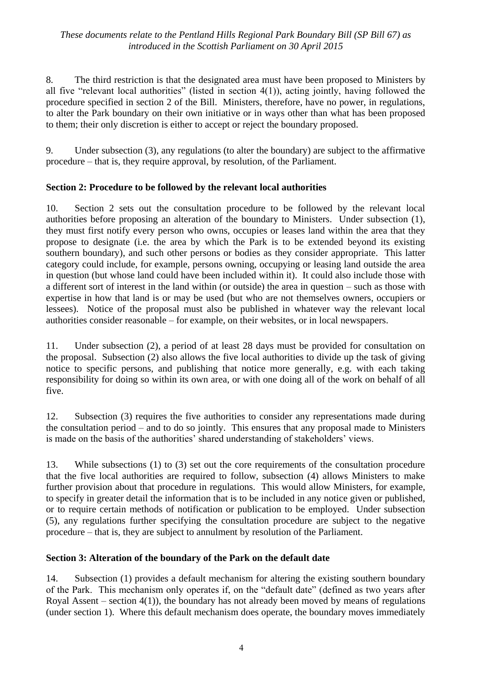#### *These documents relate to the Pentland Hills Regional Park Boundary Bill (SP Bill 67) as introduced in the Scottish Parliament on 30 April 2015*

8. The third restriction is that the designated area must have been proposed to Ministers by all five "relevant local authorities" (listed in section 4(1)), acting jointly, having followed the procedure specified in section 2 of the Bill. Ministers, therefore, have no power, in regulations, to alter the Park boundary on their own initiative or in ways other than what has been proposed to them; their only discretion is either to accept or reject the boundary proposed.

9. Under subsection (3), any regulations (to alter the boundary) are subject to the affirmative procedure – that is, they require approval, by resolution, of the Parliament.

#### **Section 2: Procedure to be followed by the relevant local authorities**

10. Section 2 sets out the consultation procedure to be followed by the relevant local authorities before proposing an alteration of the boundary to Ministers. Under subsection (1), they must first notify every person who owns, occupies or leases land within the area that they propose to designate (i.e. the area by which the Park is to be extended beyond its existing southern boundary), and such other persons or bodies as they consider appropriate. This latter category could include, for example, persons owning, occupying or leasing land outside the area in question (but whose land could have been included within it). It could also include those with a different sort of interest in the land within (or outside) the area in question – such as those with expertise in how that land is or may be used (but who are not themselves owners, occupiers or lessees). Notice of the proposal must also be published in whatever way the relevant local authorities consider reasonable – for example, on their websites, or in local newspapers.

11. Under subsection (2), a period of at least 28 days must be provided for consultation on the proposal. Subsection (2) also allows the five local authorities to divide up the task of giving notice to specific persons, and publishing that notice more generally, e.g. with each taking responsibility for doing so within its own area, or with one doing all of the work on behalf of all five.

12. Subsection (3) requires the five authorities to consider any representations made during the consultation period – and to do so jointly. This ensures that any proposal made to Ministers is made on the basis of the authorities' shared understanding of stakeholders' views.

13. While subsections (1) to (3) set out the core requirements of the consultation procedure that the five local authorities are required to follow, subsection (4) allows Ministers to make further provision about that procedure in regulations. This would allow Ministers, for example, to specify in greater detail the information that is to be included in any notice given or published, or to require certain methods of notification or publication to be employed. Under subsection (5), any regulations further specifying the consultation procedure are subject to the negative procedure – that is, they are subject to annulment by resolution of the Parliament.

#### **Section 3: Alteration of the boundary of the Park on the default date**

14. Subsection (1) provides a default mechanism for altering the existing southern boundary of the Park. This mechanism only operates if, on the "default date" (defined as two years after Royal Assent – section  $4(1)$ , the boundary has not already been moved by means of regulations (under section 1). Where this default mechanism does operate, the boundary moves immediately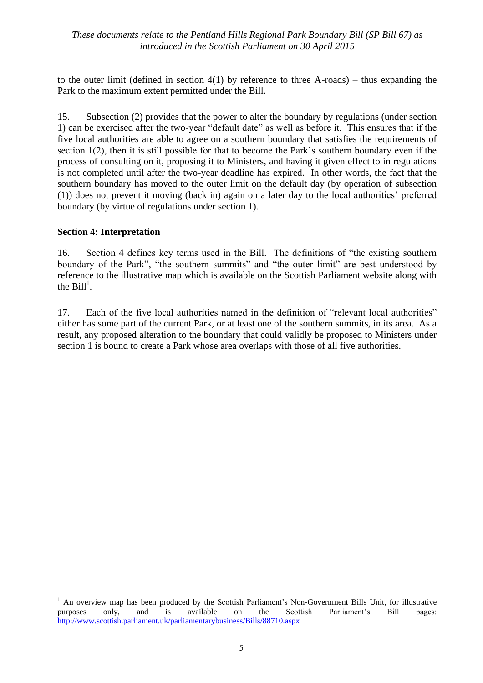#### *These documents relate to the Pentland Hills Regional Park Boundary Bill (SP Bill 67) as introduced in the Scottish Parliament on 30 April 2015*

to the outer limit (defined in section  $4(1)$  by reference to three A-roads) – thus expanding the Park to the maximum extent permitted under the Bill.

15. Subsection (2) provides that the power to alter the boundary by regulations (under section 1) can be exercised after the two-year "default date" as well as before it. This ensures that if the five local authorities are able to agree on a southern boundary that satisfies the requirements of section 1(2), then it is still possible for that to become the Park's southern boundary even if the process of consulting on it, proposing it to Ministers, and having it given effect to in regulations is not completed until after the two-year deadline has expired. In other words, the fact that the southern boundary has moved to the outer limit on the default day (by operation of subsection (1)) does not prevent it moving (back in) again on a later day to the local authorities' preferred boundary (by virtue of regulations under section 1).

#### **Section 4: Interpretation**

<u>.</u>

16. Section 4 defines key terms used in the Bill. The definitions of "the existing southern boundary of the Park", "the southern summits" and "the outer limit" are best understood by reference to the illustrative map which is available on the Scottish Parliament website along with the  $\text{Bill}^1$ .

17. Each of the five local authorities named in the definition of "relevant local authorities" either has some part of the current Park, or at least one of the southern summits, in its area. As a result, any proposed alteration to the boundary that could validly be proposed to Ministers under section 1 is bound to create a Park whose area overlaps with those of all five authorities.

<sup>1</sup> An overview map has been produced by the Scottish Parliament's Non-Government Bills Unit, for illustrative purposes only, and is available on the Scottish Parliament's Bill pages: <http://www.scottish.parliament.uk/parliamentarybusiness/Bills/88710.aspx>